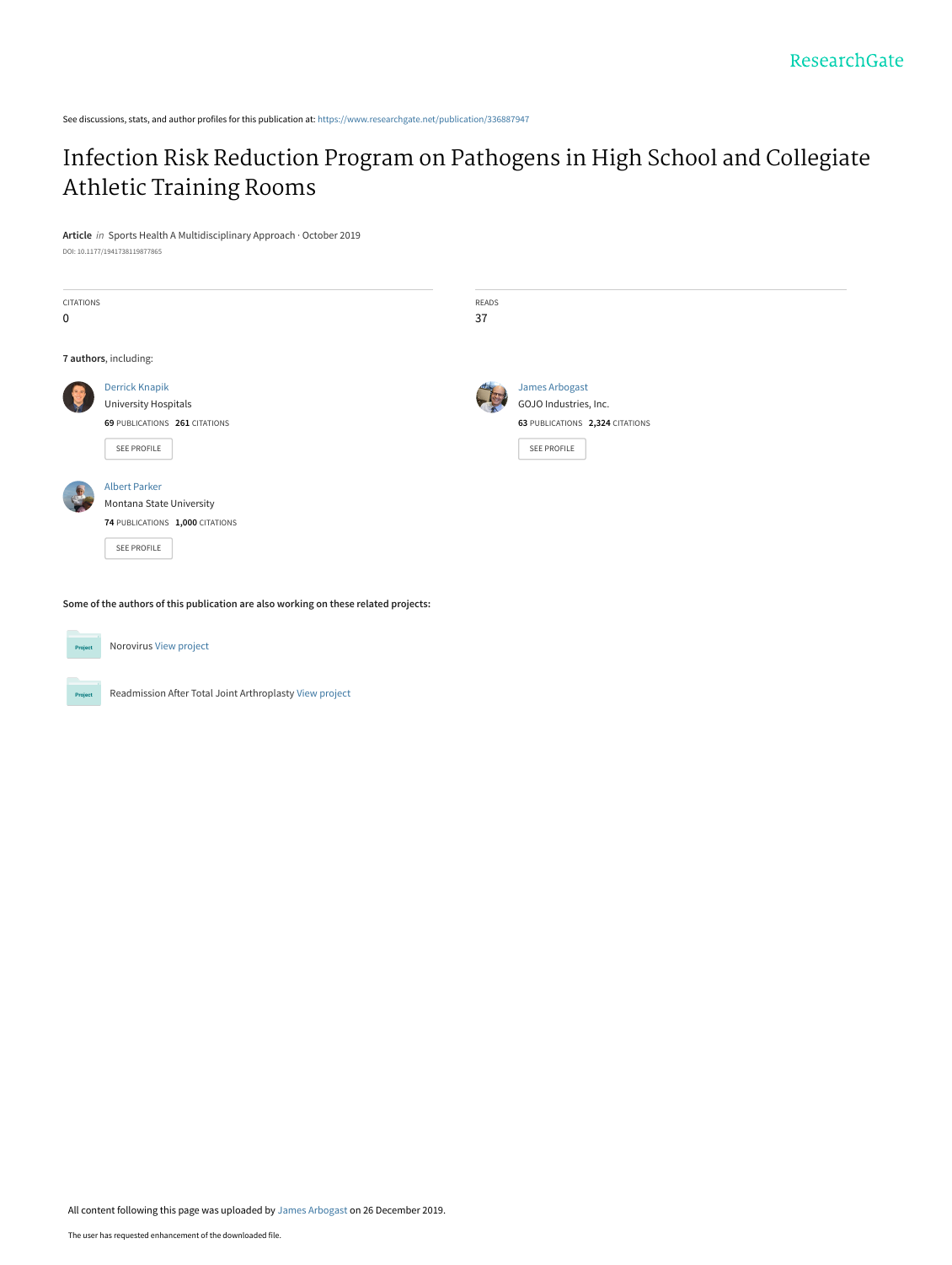See discussions, stats, and author profiles for this publication at: [https://www.researchgate.net/publication/336887947](https://www.researchgate.net/publication/336887947_Infection_Risk_Reduction_Program_on_Pathogens_in_High_School_and_Collegiate_Athletic_Training_Rooms?enrichId=rgreq-faf1af0223a643ddb08dd14c405d4a63-XXX&enrichSource=Y292ZXJQYWdlOzMzNjg4Nzk0NztBUzo4NDA0OTMxNDc2MTkzMzBAMTU3NzQwMDU5MDYwMw%3D%3D&el=1_x_2&_esc=publicationCoverPdf)

# [Infection Risk Reduction Program on Pathogens in High School and Collegiate](https://www.researchgate.net/publication/336887947_Infection_Risk_Reduction_Program_on_Pathogens_in_High_School_and_Collegiate_Athletic_Training_Rooms?enrichId=rgreq-faf1af0223a643ddb08dd14c405d4a63-XXX&enrichSource=Y292ZXJQYWdlOzMzNjg4Nzk0NztBUzo4NDA0OTMxNDc2MTkzMzBAMTU3NzQwMDU5MDYwMw%3D%3D&el=1_x_3&_esc=publicationCoverPdf) Athletic Training Rooms

**Article** in Sports Health A Multidisciplinary Approach · October 2019

DOI: 10.1177/1941738119877865

| CITATIONS |                                 | READS |                                 |  |  |
|-----------|---------------------------------|-------|---------------------------------|--|--|
| 0         |                                 | 37    |                                 |  |  |
|           |                                 |       |                                 |  |  |
|           | 7 authors, including:           |       |                                 |  |  |
|           | <b>Derrick Knapik</b>           |       | James Arbogast                  |  |  |
|           | <b>University Hospitals</b>     |       | GOJO Industries, Inc.           |  |  |
|           | 69 PUBLICATIONS 261 CITATIONS   |       | 63 PUBLICATIONS 2,324 CITATIONS |  |  |
|           | SEE PROFILE                     |       | SEE PROFILE                     |  |  |
|           | <b>Albert Parker</b>            |       |                                 |  |  |
|           | Montana State University        |       |                                 |  |  |
|           | 74 PUBLICATIONS 1,000 CITATIONS |       |                                 |  |  |
|           | SEE PROFILE                     |       |                                 |  |  |
|           |                                 |       |                                 |  |  |

**Some of the authors of this publication are also working on these related projects:**



Norovirus [View project](https://www.researchgate.net/project/Norovirus-7?enrichId=rgreq-faf1af0223a643ddb08dd14c405d4a63-XXX&enrichSource=Y292ZXJQYWdlOzMzNjg4Nzk0NztBUzo4NDA0OTMxNDc2MTkzMzBAMTU3NzQwMDU5MDYwMw%3D%3D&el=1_x_9&_esc=publicationCoverPdf)



Readmission After Total Joint Arthroplasty [View project](https://www.researchgate.net/project/Readmission-After-Total-Joint-Arthroplasty?enrichId=rgreq-faf1af0223a643ddb08dd14c405d4a63-XXX&enrichSource=Y292ZXJQYWdlOzMzNjg4Nzk0NztBUzo4NDA0OTMxNDc2MTkzMzBAMTU3NzQwMDU5MDYwMw%3D%3D&el=1_x_9&_esc=publicationCoverPdf)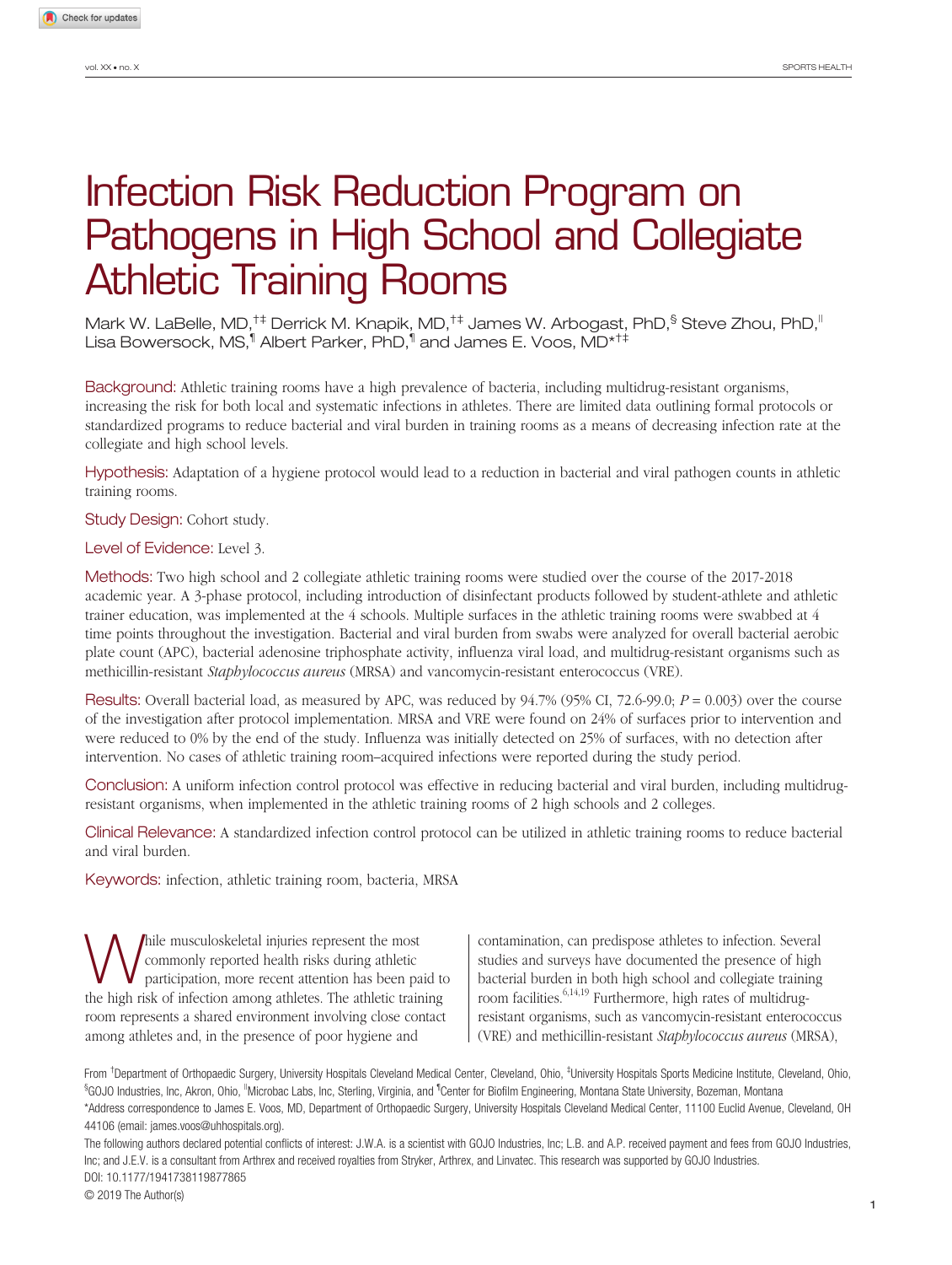# Infection Risk Reduction Program on Pathogens in High School and Collegiate Athletic Training Rooms

Mark W. LaBelle, MD,<sup>†‡</sup> Derrick M. Knapik, MD,<sup>†‡</sup> James W. Arbogast, PhD,<sup>§</sup> Steve Zhou, PhD,<sup>‼</sup> Lisa Bowersock, MS,<sup>¶</sup> Albert Parker, PhD,<sup>¶</sup> and James E. Voos, MD\*<sup>†‡</sup>

Background: Athletic training rooms have a high prevalence of bacteria, including multidrug-resistant organisms, increasing the risk for both local and systematic infections in athletes. There are limited data outlining formal protocols or standardized programs to reduce bacterial and viral burden in training rooms as a means of decreasing infection rate at the collegiate and high school levels.

Hypothesis: Adaptation of a hygiene protocol would lead to a reduction in bacterial and viral pathogen counts in athletic training rooms.

Study Design: Cohort study.

#### Level of Evidence: Level 3.

Methods: Two high school and 2 collegiate athletic training rooms were studied over the course of the 2017-2018 academic year. A 3-phase protocol, including introduction of disinfectant products followed by student-athlete and athletic trainer education, was implemented at the 4 schools. Multiple surfaces in the athletic training rooms were swabbed at 4 time points throughout the investigation. Bacterial and viral burden from swabs were analyzed for overall bacterial aerobic plate count (APC), bacterial adenosine triphosphate activity, influenza viral load, and multidrug-resistant organisms such as methicillin-resistant *Staphylococcus aureus* (MRSA) and vancomycin-resistant enterococcus (VRE).

Results: Overall bacterial load, as measured by APC, was reduced by 94.7% (95% CI, 72.6-99.0; *P* = 0.003) over the course of the investigation after protocol implementation. MRSA and VRE were found on 24% of surfaces prior to intervention and were reduced to 0% by the end of the study. Influenza was initially detected on 25% of surfaces, with no detection after intervention. No cases of athletic training room–acquired infections were reported during the study period.

Conclusion: A uniform infection control protocol was effective in reducing bacterial and viral burden, including multidrugresistant organisms, when implemented in the athletic training rooms of 2 high schools and 2 colleges.

Clinical Relevance: A standardized infection control protocol can be utilized in athletic training rooms to reduce bacterial and viral burden.

Keywords: infection, athletic training room, bacteria, MRSA

while musculoskeletal injuries represent the most<br>commonly reported health risks during athletic<br>participation, more recent attention has been paid to commonly reported health risks during athletic the high risk of infection among athletes. The athletic training room represents a shared environment involving close contact among athletes and, in the presence of poor hygiene and

contamination, can predispose athletes to infection. Several studies and surveys have documented the presence of high bacterial burden in both high school and collegiate training room facilities.<sup>6,14,19</sup> Furthermore, high rates of multidrugresistant organisms, such as vancomycin-resistant enterococcus (VRE) and methicillin-resistant *Staphylococcus aureus* (MRSA),

The following authors declared potential conflicts of interest: J.W.A. is a scientist with GOJO Industries, Inc; L.B. and A.P. received payment and fees from GOJO Industries, Inc; and J.E.V. is a consultant from Arthrex and received royalties from Stryker, Arthrex, and Linvatec. This research was supported by GOJO Industries. DOI: [10.1177/1941738119877865](https://doi.org/10.1177/1941738119877865)

From <sup>†</sup>Department of Orthopaedic Surgery, University Hospitals Cleveland Medical Center, Cleveland, Ohio, <sup>‡</sup>University Hospitals Sports Medicine Institute, Cleveland, Ohio, §GOJO Industries, Inc, Akron, Ohio, <sup>Ir</sup>Microbac Labs, Inc, Sterling, Virginia, and <sup>¶</sup>Center for Biofilm Engineering, Montana State University, Bozeman, Montana \*Address correspondence to James E. Voos, MD, Department of Orthopaedic Surgery, University Hospitals Cleveland Medical Center, 11100 Euclid Avenue, Cleveland, OH 44106 (email: james.voos@uhhospitals.org).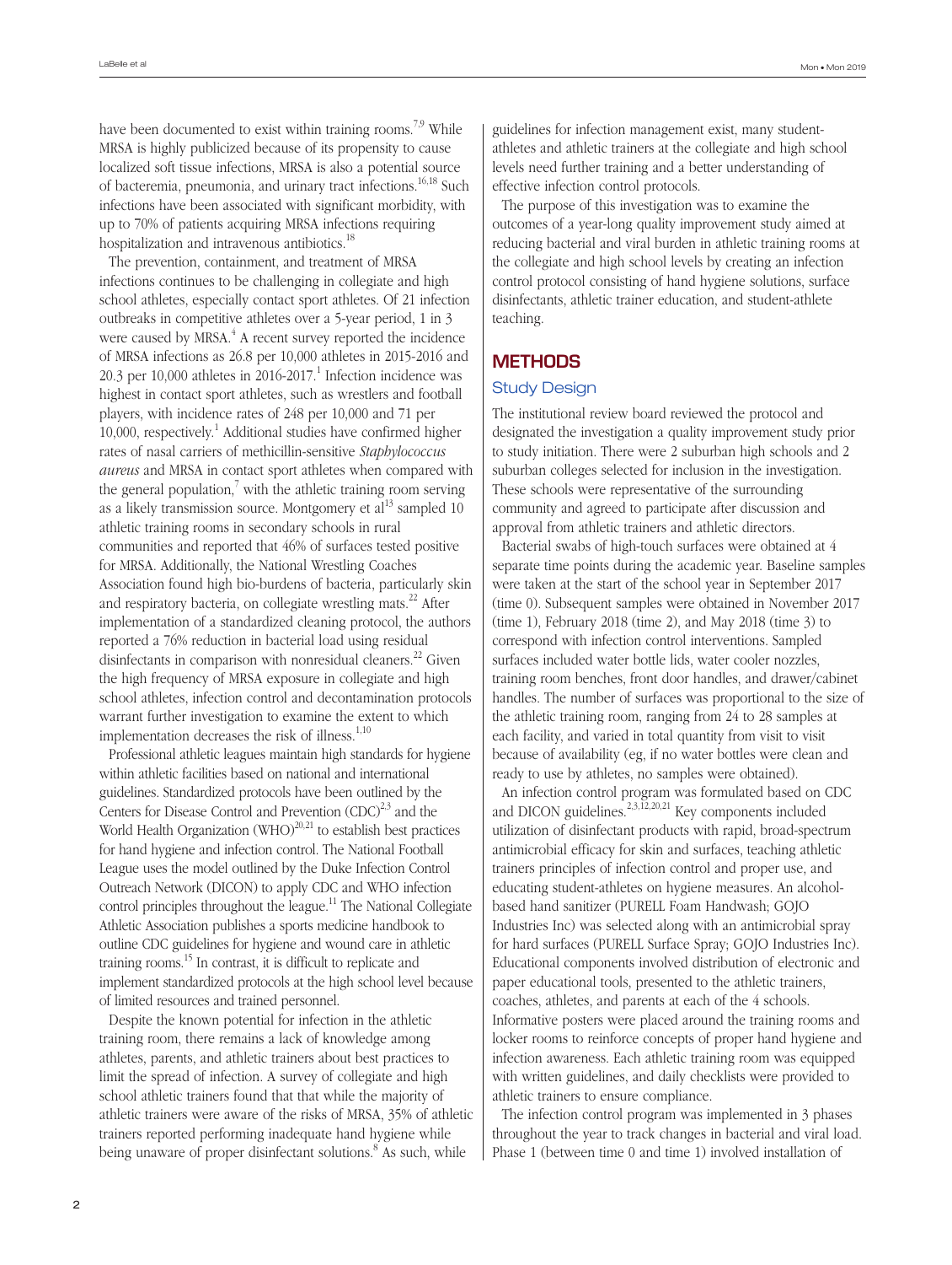have been documented to exist within training rooms.<sup>7,9</sup> While MRSA is highly publicized because of its propensity to cause localized soft tissue infections, MRSA is also a potential source of bacteremia, pneumonia, and urinary tract infections.<sup>16,18</sup> Such infections have been associated with significant morbidity, with up to 70% of patients acquiring MRSA infections requiring hospitalization and intravenous antibiotics.<sup>18</sup>

The prevention, containment, and treatment of MRSA infections continues to be challenging in collegiate and high school athletes, especially contact sport athletes. Of 21 infection outbreaks in competitive athletes over a 5-year period, 1 in 3 were caused by MRSA.<sup>4</sup> A recent survey reported the incidence of MRSA infections as 26.8 per 10,000 athletes in 2015-2016 and 20.3 per 10,000 athletes in 2016-2017.<sup>1</sup> Infection incidence was highest in contact sport athletes, such as wrestlers and football players, with incidence rates of 248 per 10,000 and 71 per  $10,000$ , respectively.<sup>1</sup> Additional studies have confirmed higher rates of nasal carriers of methicillin-sensitive *Staphylococcus aureus* and MRSA in contact sport athletes when compared with the general population,<sup>7</sup> with the athletic training room serving as a likely transmission source. Montgomery et  $al<sup>13</sup>$  sampled 10 athletic training rooms in secondary schools in rural communities and reported that 46% of surfaces tested positive for MRSA. Additionally, the National Wrestling Coaches Association found high bio-burdens of bacteria, particularly skin and respiratory bacteria, on collegiate wrestling mats. $^{22}$  After implementation of a standardized cleaning protocol, the authors reported a 76% reduction in bacterial load using residual disinfectants in comparison with nonresidual cleaners. $^{22}$  Given the high frequency of MRSA exposure in collegiate and high school athletes, infection control and decontamination protocols warrant further investigation to examine the extent to which implementation decreases the risk of illness. $1,10$ 

Professional athletic leagues maintain high standards for hygiene within athletic facilities based on national and international guidelines. Standardized protocols have been outlined by the Centers for Disease Control and Prevention  $(CDC)^{2,3}$  and the World Health Organization  $(WHO)^{20,21}$  to establish best practices for hand hygiene and infection control. The National Football League uses the model outlined by the Duke Infection Control Outreach Network (DICON) to apply CDC and WHO infection control principles throughout the league.<sup>11</sup> The National Collegiate Athletic Association publishes a sports medicine handbook to outline CDC guidelines for hygiene and wound care in athletic training rooms.15 In contrast, it is difficult to replicate and implement standardized protocols at the high school level because of limited resources and trained personnel.

Despite the known potential for infection in the athletic training room, there remains a lack of knowledge among athletes, parents, and athletic trainers about best practices to limit the spread of infection. A survey of collegiate and high school athletic trainers found that that while the majority of athletic trainers were aware of the risks of MRSA, 35% of athletic trainers reported performing inadequate hand hygiene while being unaware of proper disinfectant solutions.<sup>8</sup> As such, while

guidelines for infection management exist, many studentathletes and athletic trainers at the collegiate and high school levels need further training and a better understanding of effective infection control protocols.

The purpose of this investigation was to examine the outcomes of a year-long quality improvement study aimed at reducing bacterial and viral burden in athletic training rooms at the collegiate and high school levels by creating an infection control protocol consisting of hand hygiene solutions, surface disinfectants, athletic trainer education, and student-athlete teaching.

# **METHODS**

# Study Design

The institutional review board reviewed the protocol and designated the investigation a quality improvement study prior to study initiation. There were 2 suburban high schools and 2 suburban colleges selected for inclusion in the investigation. These schools were representative of the surrounding community and agreed to participate after discussion and approval from athletic trainers and athletic directors.

Bacterial swabs of high-touch surfaces were obtained at 4 separate time points during the academic year. Baseline samples were taken at the start of the school year in September 2017 (time 0). Subsequent samples were obtained in November 2017 (time 1), February 2018 (time 2), and May 2018 (time 3) to correspond with infection control interventions. Sampled surfaces included water bottle lids, water cooler nozzles, training room benches, front door handles, and drawer/cabinet handles. The number of surfaces was proportional to the size of the athletic training room, ranging from 24 to 28 samples at each facility, and varied in total quantity from visit to visit because of availability (eg, if no water bottles were clean and ready to use by athletes, no samples were obtained).

An infection control program was formulated based on CDC and DICON guidelines.<sup>2,3,12,20,21</sup> Key components included utilization of disinfectant products with rapid, broad-spectrum antimicrobial efficacy for skin and surfaces, teaching athletic trainers principles of infection control and proper use, and educating student-athletes on hygiene measures. An alcoholbased hand sanitizer (PURELL Foam Handwash; GOJO Industries Inc) was selected along with an antimicrobial spray for hard surfaces (PURELL Surface Spray; GOJO Industries Inc). Educational components involved distribution of electronic and paper educational tools, presented to the athletic trainers, coaches, athletes, and parents at each of the 4 schools. Informative posters were placed around the training rooms and locker rooms to reinforce concepts of proper hand hygiene and infection awareness. Each athletic training room was equipped with written guidelines, and daily checklists were provided to athletic trainers to ensure compliance.

The infection control program was implemented in 3 phases throughout the year to track changes in bacterial and viral load. Phase 1 (between time 0 and time 1) involved installation of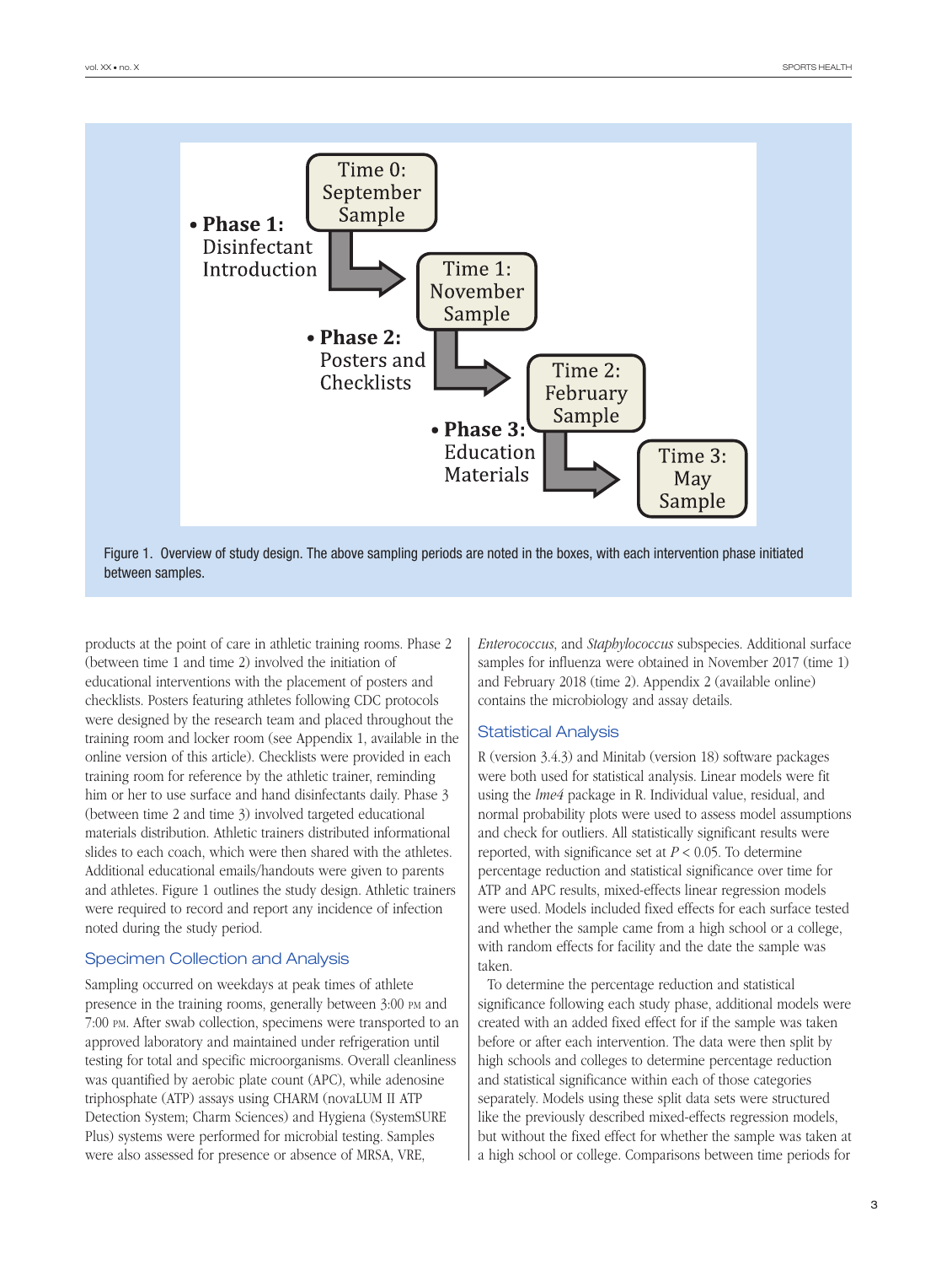

products at the point of care in athletic training rooms. Phase 2 (between time 1 and time 2) involved the initiation of educational interventions with the placement of posters and checklists. Posters featuring athletes following CDC protocols were designed by the research team and placed throughout the training room and locker room (see [Appendix 1,](https://journals.sagepub.com/doi/suppl/10.1177/1941738119877865) available in the online version of this article). Checklists were provided in each training room for reference by the athletic trainer, reminding him or her to use surface and hand disinfectants daily. Phase 3 (between time 2 and time 3) involved targeted educational materials distribution. Athletic trainers distributed informational slides to each coach, which were then shared with the athletes. Additional educational emails/handouts were given to parents and athletes. Figure 1 outlines the study design. Athletic trainers were required to record and report any incidence of infection noted during the study period.

## Specimen Collection and Analysis

Sampling occurred on weekdays at peak times of athlete presence in the training rooms, generally between 3:00 pm and 7:00 pm. After swab collection, specimens were transported to an approved laboratory and maintained under refrigeration until testing for total and specific microorganisms. Overall cleanliness was quantified by aerobic plate count (APC), while adenosine triphosphate (ATP) assays using CHARM (novaLUM II ATP Detection System; Charm Sciences) and Hygiena (SystemSURE Plus) systems were performed for microbial testing. Samples were also assessed for presence or absence of MRSA, VRE,

*Enterococcus*, and *Staphylococcus* subspecies. Additional surface samples for influenza were obtained in November 2017 (time 1) and February 2018 (time 2). [Appendix 2](https://journals.sagepub.com/doi/suppl/10.1177/1941738119877865) (available online) contains the microbiology and assay details.

# Statistical Analysis

R (version 3.4.3) and Minitab (version 18) software packages were both used for statistical analysis. Linear models were fit using the *lme4* package in R. Individual value, residual, and normal probability plots were used to assess model assumptions and check for outliers. All statistically significant results were reported, with significance set at *P* < 0.05. To determine percentage reduction and statistical significance over time for ATP and APC results, mixed-effects linear regression models were used. Models included fixed effects for each surface tested and whether the sample came from a high school or a college, with random effects for facility and the date the sample was taken.

To determine the percentage reduction and statistical significance following each study phase, additional models were created with an added fixed effect for if the sample was taken before or after each intervention. The data were then split by high schools and colleges to determine percentage reduction and statistical significance within each of those categories separately. Models using these split data sets were structured like the previously described mixed-effects regression models, but without the fixed effect for whether the sample was taken at a high school or college. Comparisons between time periods for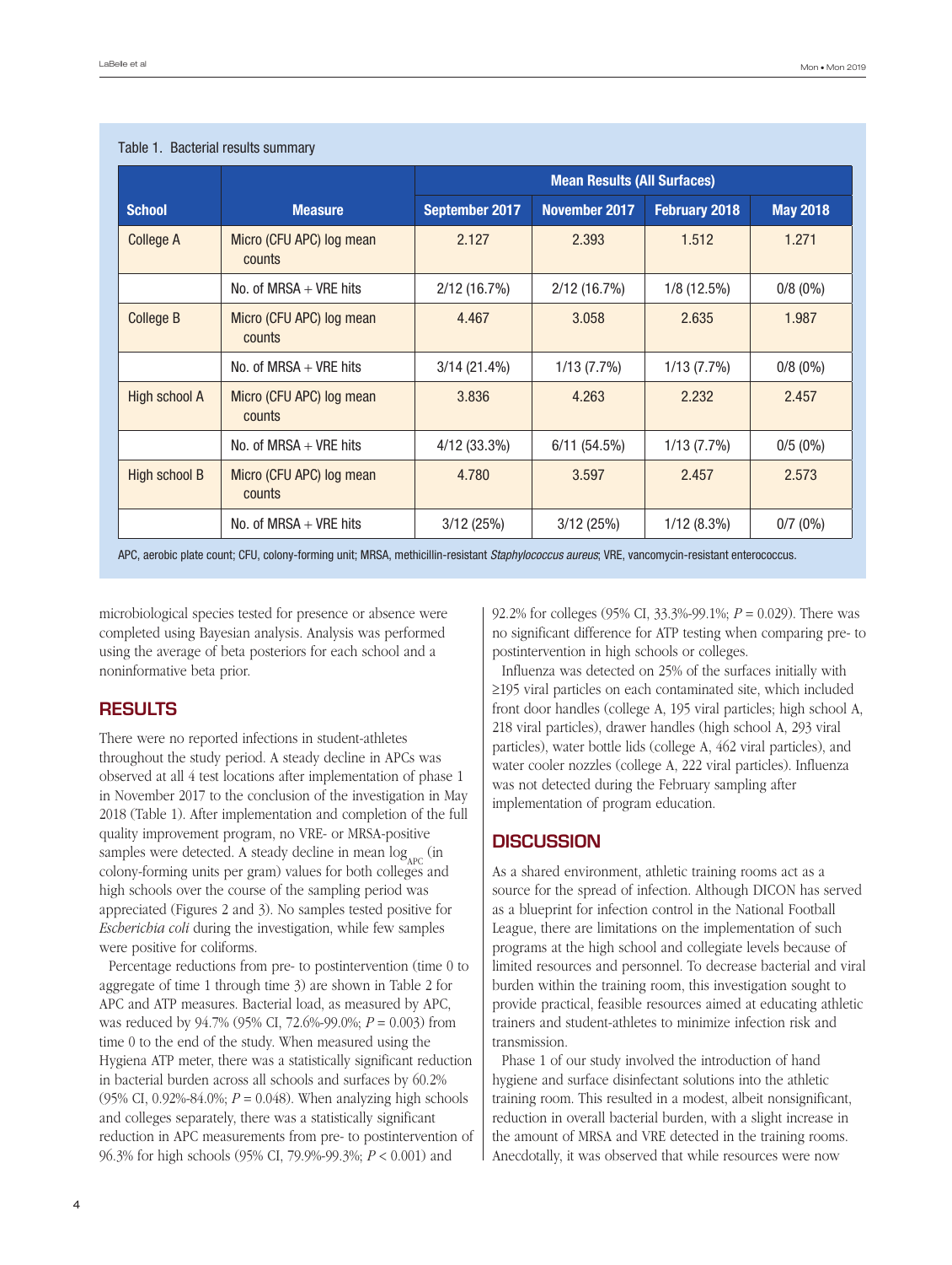|                  |                                    | <b>Mean Results (All Surfaces)</b> |               |                      |                 |  |
|------------------|------------------------------------|------------------------------------|---------------|----------------------|-----------------|--|
| <b>School</b>    | <b>Measure</b>                     | September 2017                     | November 2017 | <b>February 2018</b> | <b>May 2018</b> |  |
| College A        | Micro (CFU APC) log mean<br>counts | 2.127                              | 2.393         | 1.512                | 1.271           |  |
|                  | No. of MRSA $+$ VRE hits           | 2/12(16.7%)                        | 2/12(16.7%)   | 1/8(12.5%)           | $0/8(0\%)$      |  |
| <b>College B</b> | Micro (CFU APC) log mean<br>counts | 4.467                              | 3.058         | 2.635                | 1.987           |  |
|                  | No. of MRSA $+$ VRE hits           | $3/14(21.4\%)$                     | 1/13(7.7%)    | 1/13(7.7%)           | $0/8(0\%)$      |  |
| High school A    | Micro (CFU APC) log mean<br>counts | 3.836                              | 4.263         | 2.232                | 2.457           |  |
|                  | No. of MRSA $+$ VRE hits           | $4/12(33.3\%)$                     | 6/11(54.5%)   | 1/13(7.7%)           | $0/5(0\%)$      |  |
| High school B    | Micro (CFU APC) log mean<br>counts | 4.780                              | 3.597         | 2.457                | 2.573           |  |
|                  | No. of MRSA $+$ VRE hits           | 3/12(25%)                          | 3/12(25%)     | 1/12(8.3%)           | $0/7(0\%)$      |  |

#### Table 1. Bacterial results summary

APC, aerobic plate count; CFU, colony-forming unit; MRSA, methicillin-resistant *Staphylococcus aureus*; VRE, vancomycin-resistant enterococcus.

microbiological species tested for presence or absence were completed using Bayesian analysis. Analysis was performed using the average of beta posteriors for each school and a noninformative beta prior.

# **RESULTS**

There were no reported infections in student-athletes throughout the study period. A steady decline in APCs was observed at all 4 test locations after implementation of phase 1 in November 2017 to the conclusion of the investigation in May 2018 (Table 1). After implementation and completion of the full quality improvement program, no VRE- or MRSA-positive samples were detected. A steady decline in mean  $\log_{_{APC}}$  (in colony-forming units per gram) values for both colleges and high schools over the course of the sampling period was appreciated (Figures 2 and 3). No samples tested positive for *Escherichia coli* during the investigation, while few samples were positive for coliforms.

Percentage reductions from pre- to postintervention (time 0 to aggregate of time 1 through time 3) are shown in Table 2 for APC and ATP measures. Bacterial load, as measured by APC, was reduced by 94.7% (95% CI, 72.6%-99.0%; *P* = 0.003) from time 0 to the end of the study. When measured using the Hygiena ATP meter, there was a statistically significant reduction in bacterial burden across all schools and surfaces by 60.2% (95% CI, 0.92%-84.0%; *P* = 0.048). When analyzing high schools and colleges separately, there was a statistically significant reduction in APC measurements from pre- to postintervention of 96.3% for high schools (95% CI, 79.9%-99.3%; *P* < 0.001) and

92.2% for colleges (95% CI, 33.3%-99.1%; *P* = 0.029). There was no significant difference for ATP testing when comparing pre- to postintervention in high schools or colleges.

Influenza was detected on 25% of the surfaces initially with ≥195 viral particles on each contaminated site, which included front door handles (college A, 195 viral particles; high school A, 218 viral particles), drawer handles (high school A, 293 viral particles), water bottle lids (college A, 462 viral particles), and water cooler nozzles (college A, 222 viral particles). Influenza was not detected during the February sampling after implementation of program education.

## **DISCUSSION**

As a shared environment, athletic training rooms act as a source for the spread of infection. Although DICON has served as a blueprint for infection control in the National Football League, there are limitations on the implementation of such programs at the high school and collegiate levels because of limited resources and personnel. To decrease bacterial and viral burden within the training room, this investigation sought to provide practical, feasible resources aimed at educating athletic trainers and student-athletes to minimize infection risk and transmission.

Phase 1 of our study involved the introduction of hand hygiene and surface disinfectant solutions into the athletic training room. This resulted in a modest, albeit nonsignificant, reduction in overall bacterial burden, with a slight increase in the amount of MRSA and VRE detected in the training rooms. Anecdotally, it was observed that while resources were now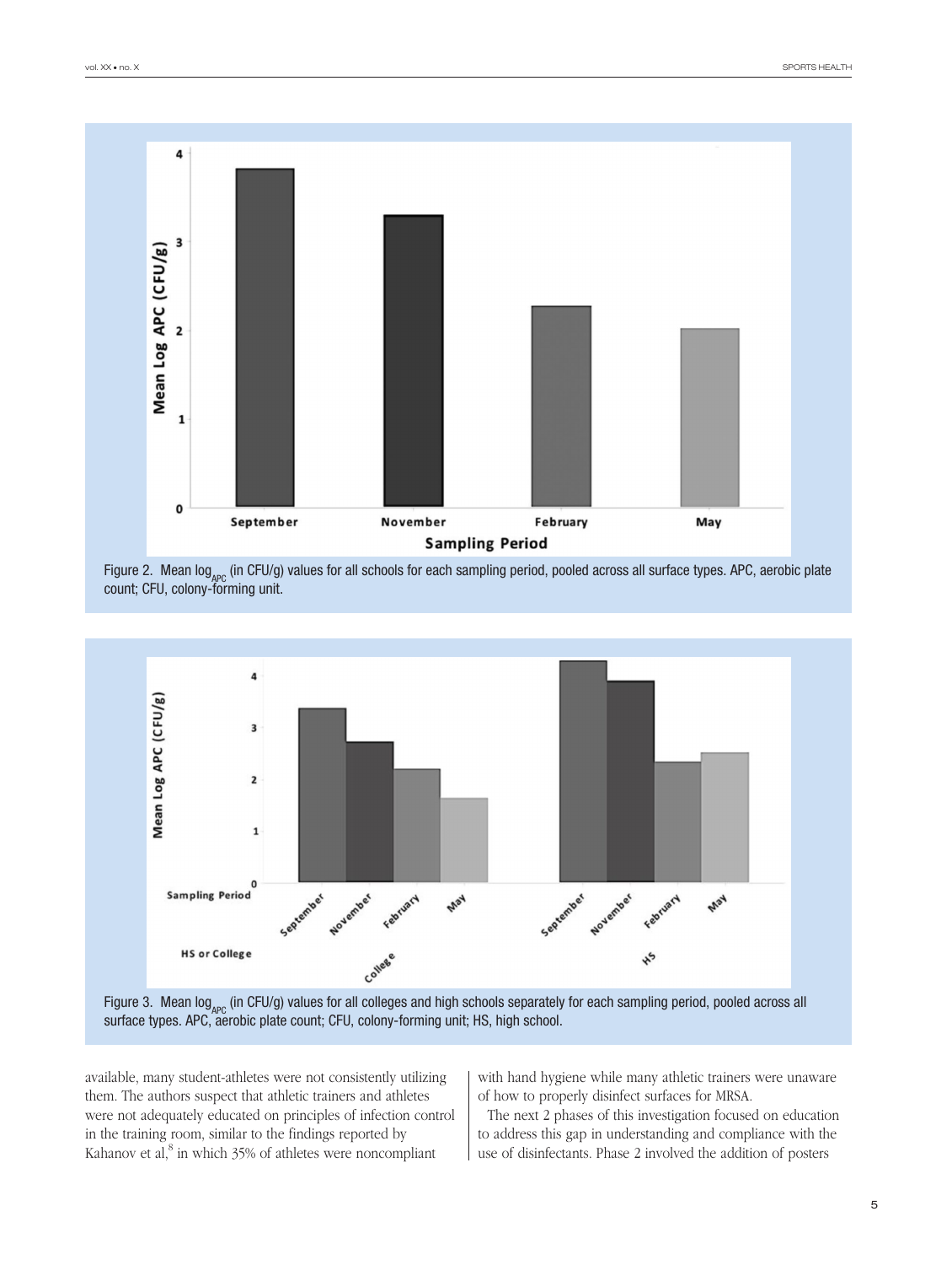





surface types. APC, aerobic plate count; CFU, colony-forming unit; HS, high school.

available, many student-athletes were not consistently utilizing them. The authors suspect that athletic trainers and athletes were not adequately educated on principles of infection control in the training room, similar to the findings reported by Kahanov et al, $^8$  in which 35% of athletes were noncompliant

with hand hygiene while many athletic trainers were unaware of how to properly disinfect surfaces for MRSA.

The next 2 phases of this investigation focused on education to address this gap in understanding and compliance with the use of disinfectants. Phase 2 involved the addition of posters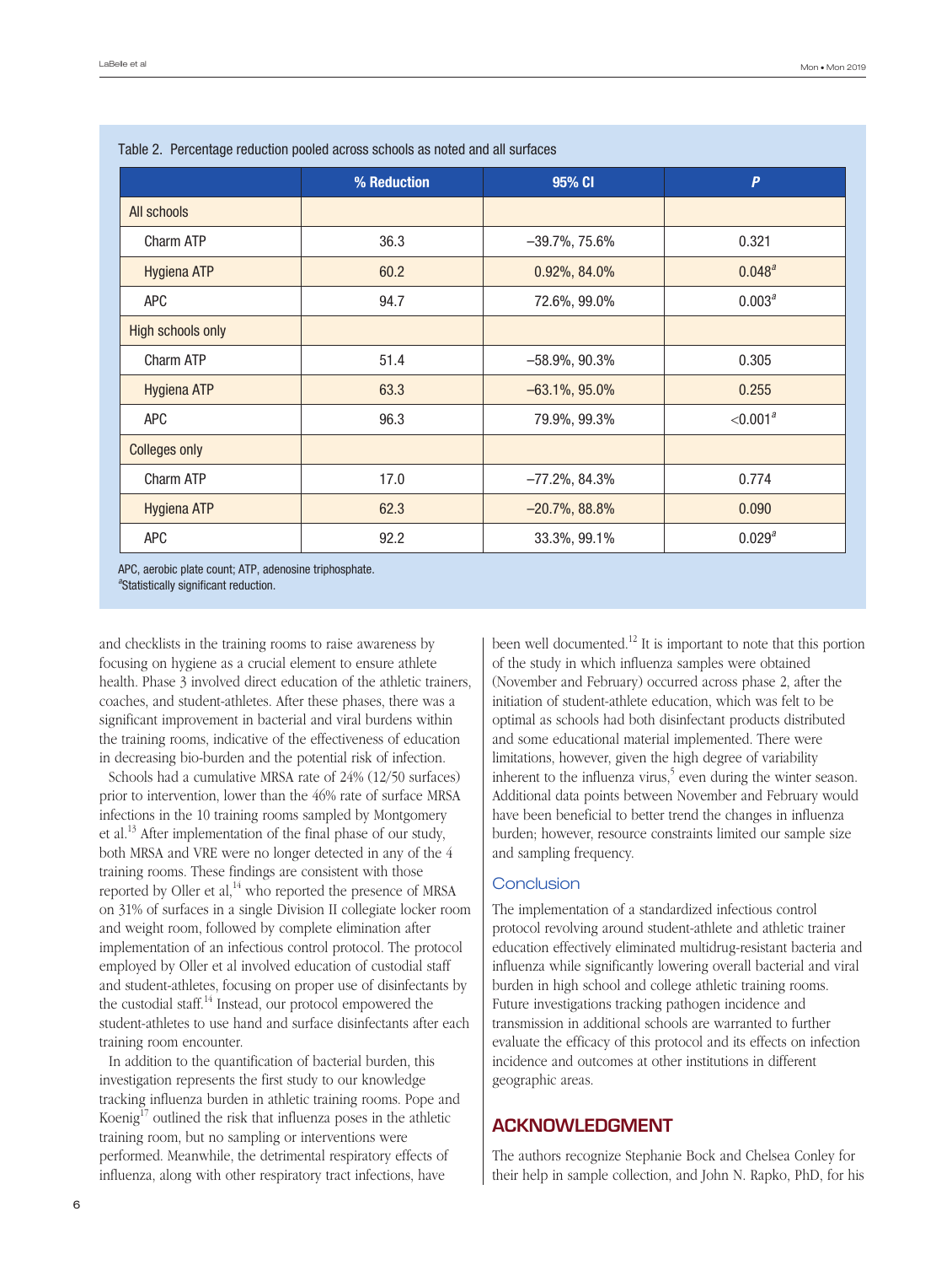|                      | % Reduction | 95% CI            | P                    |
|----------------------|-------------|-------------------|----------------------|
| All schools          |             |                   |                      |
| Charm ATP            | 36.3        | $-39.7\%$ , 75.6% | 0.321                |
| <b>Hygiena ATP</b>   | 60.2        | 0.92%, 84.0%      | $0.048^{a}$          |
| APC                  | 94.7        | 72.6%, 99.0%      | $0.003^{a}$          |
| High schools only    |             |                   |                      |
| Charm ATP            | 51.4        | $-58.9\%, 90.3\%$ | 0.305                |
| <b>Hygiena ATP</b>   | 63.3        | $-63.1\%, 95.0\%$ | 0.255                |
| <b>APC</b>           | 96.3        | 79.9%, 99.3%      | < 0.001 <sup>a</sup> |
| <b>Colleges only</b> |             |                   |                      |
| Charm ATP            | 17.0        | $-77.2\%$ , 84.3% | 0.774                |
| <b>Hygiena ATP</b>   | 62.3        | $-20.7\%$ , 88.8% | 0.090                |
| APC                  | 92.2        | 33.3%, 99.1%      | $0.029^{a}$          |

Table 2. Percentage reduction pooled across schools as noted and all surfaces

APC, aerobic plate count; ATP, adenosine triphosphate. *a* Statistically significant reduction.

and checklists in the training rooms to raise awareness by focusing on hygiene as a crucial element to ensure athlete health. Phase 3 involved direct education of the athletic trainers, coaches, and student-athletes. After these phases, there was a significant improvement in bacterial and viral burdens within the training rooms, indicative of the effectiveness of education in decreasing bio-burden and the potential risk of infection.

Schools had a cumulative MRSA rate of 24% (12/50 surfaces) prior to intervention, lower than the 46% rate of surface MRSA infections in the 10 training rooms sampled by Montgomery et al. $^{13}$  After implementation of the final phase of our study, both MRSA and VRE were no longer detected in any of the 4 training rooms. These findings are consistent with those reported by Oller et al,<sup>14</sup> who reported the presence of MRSA on 31% of surfaces in a single Division II collegiate locker room and weight room, followed by complete elimination after implementation of an infectious control protocol. The protocol employed by Oller et al involved education of custodial staff and student-athletes, focusing on proper use of disinfectants by the custodial staff.<sup>14</sup> Instead, our protocol empowered the student-athletes to use hand and surface disinfectants after each training room encounter.

In addition to the quantification of bacterial burden, this investigation represents the first study to our knowledge tracking influenza burden in athletic training rooms. Pope and Koenig<sup>17</sup> outlined the risk that influenza poses in the athletic training room, but no sampling or interventions were performed. Meanwhile, the detrimental respiratory effects of influenza, along with other respiratory tract infections, have

been well documented.<sup>12</sup> It is important to note that this portion of the study in which influenza samples were obtained (November and February) occurred across phase 2, after the initiation of student-athlete education, which was felt to be optimal as schools had both disinfectant products distributed and some educational material implemented. There were limitations, however, given the high degree of variability inherent to the influenza virus,<sup>5</sup> even during the winter season. Additional data points between November and February would have been beneficial to better trend the changes in influenza burden; however, resource constraints limited our sample size and sampling frequency.

#### **Conclusion**

The implementation of a standardized infectious control protocol revolving around student-athlete and athletic trainer education effectively eliminated multidrug-resistant bacteria and influenza while significantly lowering overall bacterial and viral burden in high school and college athletic training rooms. Future investigations tracking pathogen incidence and transmission in additional schools are warranted to further evaluate the efficacy of this protocol and its effects on infection incidence and outcomes at other institutions in different geographic areas.

# **ACKNOWLEDGMENT**

The authors recognize Stephanie Bock and Chelsea Conley for their help in sample collection, and John N. Rapko, PhD, for his